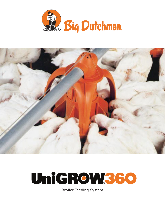





Broiler Feeding System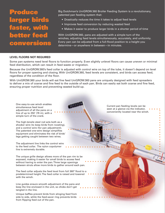# Produce rger birds faster, with better feed onversio

Big Dutchman's UniGROW.360 Broiler Feeding System is a revolutionary, patented pan feeding system that:

- Drastically reduces the time it takes to adjust feed levels
- Improves feed conversion by reducing wasted feed
- Makes it easier to produce larger birds in a shorter period of time

With UniGROW 360, pans are adjusted with a simple turn of the winches, adjusting feed levels simultaneously, accurately, and uniformly. Every pan can be adjusted from a full-flood position to a height you determine—or anywhere in between—in minutes.

### **LEVEL FLOORS NOT REQUIRED**

Some pan systems need level floors to function properly. Even slightly unlevel floors can cause uneven or minimal feed distribution, which can result in feed waste or migration.

Because the UniGROW.360's feed collar is adjusted with control wire on top of the tube, it doesn't depend on level floors for proper opening and closing. With UniGROW360, feed levels are consistent, and birds can access feed, regardless of the condition of the floor.

With UniGROW360 your birds will eat fine feed UniGROW360 pans are uniquely designed with feed spreaders to deliver a mix of coarse and fine feed to the outside of each pan. Birds can easily eat both coarse and fine feed, ensuring proper nutrition and preventing wasted build-up.

One easy-to-use winch enables simultaneous feed level adjustment of all the pans on a line of up to 250' (76 m), with a simple turn of the crank.

The high-tensile steel rod acts both as a shocker wire (to keep birds from roosting), and a control wire (for pan adjustment). The patented one-wire design simplifies equipment and eliminates the risk of birds' legs getting caught between two wires.

The adjustment line links the control wire to the feed collar. The nylon copolymer line is extremely durable.

The unique grille design allows more of the pan rim to be exposed, making it easier for small birds to access feed without having to enter the pan. Three large openings between struts allow more birds to gather around each pan.

The feed collar adjusts the feed level from full 360° flood to a predetermined height. The feed collar is raised and lowered with the winch.

Line guides ensure smooth adjustment of the pans and keep the line enclosed in the unit, so chicks don't get tangled in the line.

Unique baffles prevent birds from slinging feed from side to side, while the feed-saver ring prevents birds from flipping feed out of the pan.

Current pan feeding levels can be seen at a glance via the indicator, conveniently located near the winch.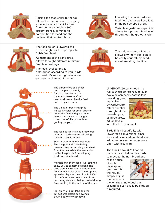

Raising the feed collar to the top allows the pan to flood, providing excellent starts for chicks. Feed flows out in a complete 360° circumference, eliminating competition for feed and the 'valleys' that can trap birds.



Lowering the collar reduces feed flow and helps keep feed in the pan as birds grow.

Variable adjustment capability allows for optimum feed levels throughout the growth cycle.



The feed collar is lowered to a preset height for the appropriate finish feed level.

Adjustment of the pan's drop allows for eight different minimum feed level settings.

The feed level setting is determined according to your birds and feed; it's set during installation and can be changed if needed.



The unique shut-off feature allows any individual pan to be easily shut off, by hand, anywhere along the line.



The durable top cap snaps onto the pan assembly for easy installation and maintenance—there's no need to disassemble the feed line to replace parts

The unique three-strut grille makes it easier for small birds to get to the feed and get a better start. Day-olds can easily get in and out of the pan without getting trapped.

The feed collar is raised or lowered with the winch system, adjusting the feed level from full,

360° flood to minimal feed flow. The integral anti-scratch ring prevents feed from being scratched from the pan, while the feed collar baffles keep birds from slinging feed from side to side.

Multiple minimum feed level settings allow you to custom-set pans. The drop also allows you to shut off feed flow to individual pans. The drop feed spreader disperses feed in a full 360° circumference and keeps feed from becoming stale and being wasted due to fines settling in the middle of the pan.

Pull on two finger tabs and the 13" (33 cm) plastic pan swings down easily for washdown.

UniGROW<sub>360</sub> pans flood in a full 360° circumference, so even day-olds can easily access feed,

providing great starts. The UniGROW360 offers benefits throughout the growth cycle, as birds grow, adiust levels



with the turn of a crank.

Birds finish beautifully, with lower feed conversions, since less feed is wasted and feed level adjustments can be made more often with less work.

The UniGROW360's flooded pans can also help entice birds to move to the non-brood end

of the house. Once birds have spread out through the house, simply adjust the pans with



the winches. Individual pan assemblies can easily be shut off, if required.